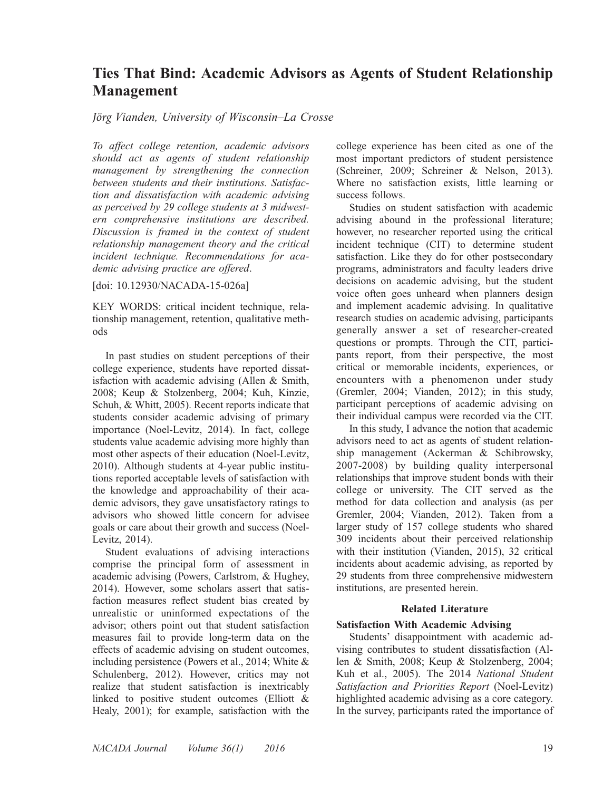# Ties That Bind: Academic Advisors as Agents of Student Relationship Management

# *Jörg* Vianden, University of Wisconsin–La Crosse

To affect college retention, academic advisors should act as agents of student relationship management by strengthening the connection between students and their institutions. Satisfaction and dissatisfaction with academic advising as perceived by 29 college students at 3 midwestern comprehensive institutions are described. Discussion is framed in the context of student relationship management theory and the critical incident technique. Recommendations for academic advising practice are offered.

[doi: 10.12930/NACADA-15-026a]

KEY WORDS: critical incident technique, relationship management, retention, qualitative methods

In past studies on student perceptions of their college experience, students have reported dissatisfaction with academic advising (Allen & Smith, 2008; Keup & Stolzenberg, 2004; Kuh, Kinzie, Schuh, & Whitt, 2005). Recent reports indicate that students consider academic advising of primary importance (Noel-Levitz, 2014). In fact, college students value academic advising more highly than most other aspects of their education (Noel-Levitz, 2010). Although students at 4-year public institutions reported acceptable levels of satisfaction with the knowledge and approachability of their academic advisors, they gave unsatisfactory ratings to advisors who showed little concern for advisee goals or care about their growth and success (Noel-Levitz, 2014).

Student evaluations of advising interactions comprise the principal form of assessment in academic advising (Powers, Carlstrom, & Hughey, 2014). However, some scholars assert that satisfaction measures reflect student bias created by unrealistic or uninformed expectations of the advisor; others point out that student satisfaction measures fail to provide long-term data on the effects of academic advising on student outcomes, including persistence (Powers et al., 2014; White & Schulenberg, 2012). However, critics may not realize that student satisfaction is inextricably linked to positive student outcomes (Elliott & Healy, 2001); for example, satisfaction with the college experience has been cited as one of the most important predictors of student persistence (Schreiner, 2009; Schreiner & Nelson, 2013). Where no satisfaction exists, little learning or success follows.

Studies on student satisfaction with academic advising abound in the professional literature; however, no researcher reported using the critical incident technique (CIT) to determine student satisfaction. Like they do for other postsecondary programs, administrators and faculty leaders drive decisions on academic advising, but the student voice often goes unheard when planners design and implement academic advising. In qualitative research studies on academic advising, participants generally answer a set of researcher-created questions or prompts. Through the CIT, participants report, from their perspective, the most critical or memorable incidents, experiences, or encounters with a phenomenon under study (Gremler, 2004; Vianden, 2012); in this study, participant perceptions of academic advising on their individual campus were recorded via the CIT.

In this study, I advance the notion that academic advisors need to act as agents of student relationship management (Ackerman & Schibrowsky, 2007-2008) by building quality interpersonal relationships that improve student bonds with their college or university. The CIT served as the method for data collection and analysis (as per Gremler, 2004; Vianden, 2012). Taken from a larger study of 157 college students who shared 309 incidents about their perceived relationship with their institution (Vianden, 2015), 32 critical incidents about academic advising, as reported by 29 students from three comprehensive midwestern institutions, are presented herein.

### Related Literature

# Satisfaction With Academic Advising

Students' disappointment with academic advising contributes to student dissatisfaction (Allen & Smith, 2008; Keup & Stolzenberg, 2004; Kuh et al., 2005). The 2014 National Student Satisfaction and Priorities Report (Noel-Levitz) highlighted academic advising as a core category. In the survey, participants rated the importance of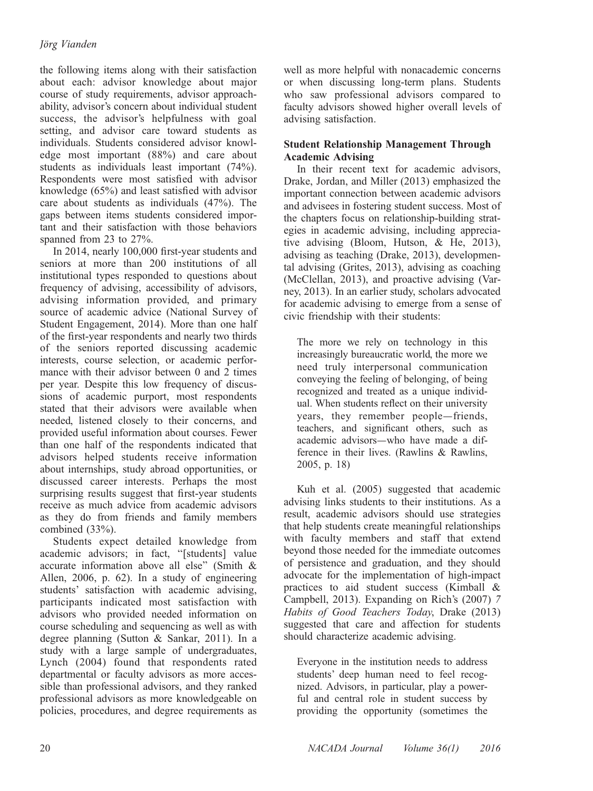the following items along with their satisfaction about each: advisor knowledge about major course of study requirements, advisor approachability, advisor's concern about individual student success, the advisor's helpfulness with goal setting, and advisor care toward students as individuals. Students considered advisor knowledge most important (88%) and care about students as individuals least important (74%). Respondents were most satisfied with advisor knowledge (65%) and least satisfied with advisor care about students as individuals (47%). The gaps between items students considered important and their satisfaction with those behaviors spanned from 23 to 27%.

In 2014, nearly 100,000 first-year students and seniors at more than 200 institutions of all institutional types responded to questions about frequency of advising, accessibility of advisors, advising information provided, and primary source of academic advice (National Survey of Student Engagement, 2014). More than one half of the first-year respondents and nearly two thirds of the seniors reported discussing academic interests, course selection, or academic performance with their advisor between 0 and 2 times per year. Despite this low frequency of discussions of academic purport, most respondents stated that their advisors were available when needed, listened closely to their concerns, and provided useful information about courses. Fewer than one half of the respondents indicated that advisors helped students receive information about internships, study abroad opportunities, or discussed career interests. Perhaps the most surprising results suggest that first-year students receive as much advice from academic advisors as they do from friends and family members combined (33%).

Students expect detailed knowledge from academic advisors; in fact, ''[students] value accurate information above all else'' (Smith & Allen, 2006, p. 62). In a study of engineering students' satisfaction with academic advising, participants indicated most satisfaction with advisors who provided needed information on course scheduling and sequencing as well as with degree planning (Sutton & Sankar, 2011). In a study with a large sample of undergraduates, Lynch (2004) found that respondents rated departmental or faculty advisors as more accessible than professional advisors, and they ranked professional advisors as more knowledgeable on policies, procedures, and degree requirements as

well as more helpful with nonacademic concerns or when discussing long-term plans. Students who saw professional advisors compared to faculty advisors showed higher overall levels of advising satisfaction.

# Student Relationship Management Through Academic Advising

In their recent text for academic advisors, Drake, Jordan, and Miller (2013) emphasized the important connection between academic advisors and advisees in fostering student success. Most of the chapters focus on relationship-building strategies in academic advising, including appreciative advising (Bloom, Hutson, & He, 2013), advising as teaching (Drake, 2013), developmental advising (Grites, 2013), advising as coaching (McClellan, 2013), and proactive advising (Varney, 2013). In an earlier study, scholars advocated for academic advising to emerge from a sense of civic friendship with their students:

The more we rely on technology in this increasingly bureaucratic world, the more we need truly interpersonal communication conveying the feeling of belonging, of being recognized and treated as a unique individual. When students reflect on their university years, they remember people—friends, teachers, and significant others, such as academic advisors—who have made a difference in their lives. (Rawlins & Rawlins, 2005, p. 18)

Kuh et al. (2005) suggested that academic advising links students to their institutions. As a result, academic advisors should use strategies that help students create meaningful relationships with faculty members and staff that extend beyond those needed for the immediate outcomes of persistence and graduation, and they should advocate for the implementation of high-impact practices to aid student success (Kimball & Campbell, 2013). Expanding on Rich's (2007) 7 Habits of Good Teachers Today, Drake (2013) suggested that care and affection for students should characterize academic advising.

Everyone in the institution needs to address students' deep human need to feel recognized. Advisors, in particular, play a powerful and central role in student success by providing the opportunity (sometimes the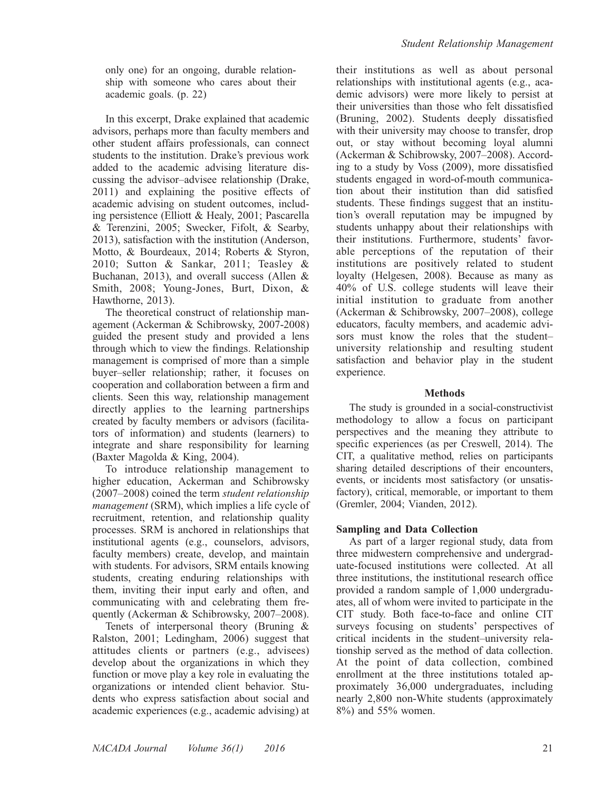only one) for an ongoing, durable relationship with someone who cares about their academic goals. (p. 22)

In this excerpt, Drake explained that academic advisors, perhaps more than faculty members and other student affairs professionals, can connect students to the institution. Drake's previous work added to the academic advising literature discussing the advisor–advisee relationship (Drake, 2011) and explaining the positive effects of academic advising on student outcomes, including persistence (Elliott & Healy, 2001; Pascarella & Terenzini, 2005; Swecker, Fifolt, & Searby, 2013), satisfaction with the institution (Anderson, Motto, & Bourdeaux, 2014; Roberts & Styron, 2010; Sutton & Sankar, 2011; Teasley & Buchanan, 2013), and overall success (Allen & Smith, 2008; Young-Jones, Burt, Dixon, & Hawthorne, 2013).

The theoretical construct of relationship management (Ackerman & Schibrowsky, 2007-2008) guided the present study and provided a lens through which to view the findings. Relationship management is comprised of more than a simple buyer–seller relationship; rather, it focuses on cooperation and collaboration between a firm and clients. Seen this way, relationship management directly applies to the learning partnerships created by faculty members or advisors (facilitators of information) and students (learners) to integrate and share responsibility for learning (Baxter Magolda & King, 2004).

To introduce relationship management to higher education, Ackerman and Schibrowsky (2007–2008) coined the term student relationship management (SRM), which implies a life cycle of recruitment, retention, and relationship quality processes. SRM is anchored in relationships that institutional agents (e.g., counselors, advisors, faculty members) create, develop, and maintain with students. For advisors, SRM entails knowing students, creating enduring relationships with them, inviting their input early and often, and communicating with and celebrating them frequently (Ackerman & Schibrowsky, 2007–2008).

Tenets of interpersonal theory (Bruning & Ralston, 2001; Ledingham, 2006) suggest that attitudes clients or partners (e.g., advisees) develop about the organizations in which they function or move play a key role in evaluating the organizations or intended client behavior. Students who express satisfaction about social and academic experiences (e.g., academic advising) at their institutions as well as about personal relationships with institutional agents (e.g., academic advisors) were more likely to persist at their universities than those who felt dissatisfied (Bruning, 2002). Students deeply dissatisfied with their university may choose to transfer, drop out, or stay without becoming loyal alumni (Ackerman & Schibrowsky, 2007–2008). According to a study by Voss (2009), more dissatisfied students engaged in word-of-mouth communication about their institution than did satisfied students. These findings suggest that an institution's overall reputation may be impugned by students unhappy about their relationships with their institutions. Furthermore, students' favorable perceptions of the reputation of their institutions are positively related to student loyalty (Helgesen, 2008). Because as many as 40% of U.S. college students will leave their initial institution to graduate from another (Ackerman & Schibrowsky, 2007–2008), college educators, faculty members, and academic advisors must know the roles that the student– university relationship and resulting student satisfaction and behavior play in the student experience.

### Methods

The study is grounded in a social-constructivist methodology to allow a focus on participant perspectives and the meaning they attribute to specific experiences (as per Creswell, 2014). The CIT, a qualitative method, relies on participants sharing detailed descriptions of their encounters, events, or incidents most satisfactory (or unsatisfactory), critical, memorable, or important to them (Gremler, 2004; Vianden, 2012).

# Sampling and Data Collection

As part of a larger regional study, data from three midwestern comprehensive and undergraduate-focused institutions were collected. At all three institutions, the institutional research office provided a random sample of 1,000 undergraduates, all of whom were invited to participate in the CIT study. Both face-to-face and online CIT surveys focusing on students' perspectives of critical incidents in the student–university relationship served as the method of data collection. At the point of data collection, combined enrollment at the three institutions totaled approximately 36,000 undergraduates, including nearly 2,800 non-White students (approximately 8%) and 55% women.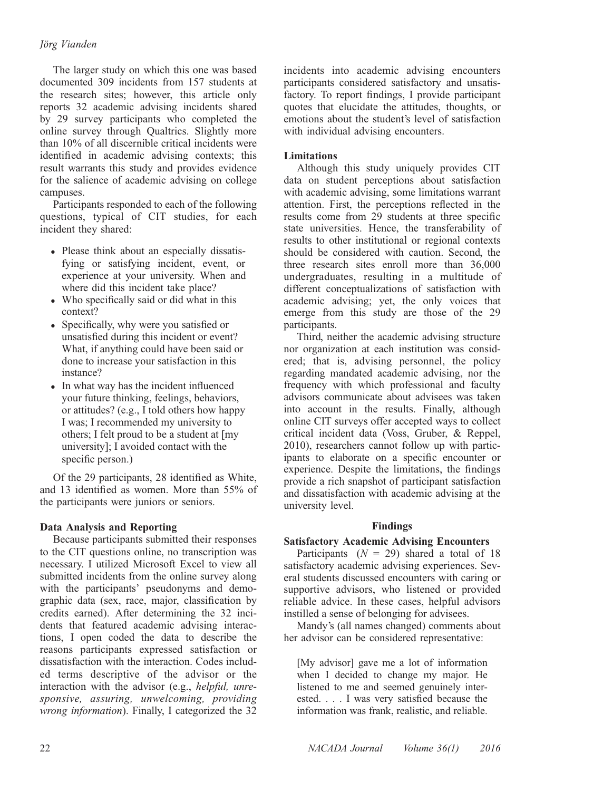The larger study on which this one was based documented 309 incidents from 157 students at the research sites; however, this article only reports 32 academic advising incidents shared by 29 survey participants who completed the online survey through Qualtrics. Slightly more than 10% of all discernible critical incidents were identified in academic advising contexts; this result warrants this study and provides evidence for the salience of academic advising on college campuses.

Participants responded to each of the following questions, typical of CIT studies, for each incident they shared:

- Please think about an especially dissatisfying or satisfying incident, event, or experience at your university. When and where did this incident take place?
- Who specifically said or did what in this context?
- Specifically, why were you satisfied or unsatisfied during this incident or event? What, if anything could have been said or done to increase your satisfaction in this instance?
- In what way has the incident influenced your future thinking, feelings, behaviors, or attitudes? (e.g., I told others how happy I was; I recommended my university to others; I felt proud to be a student at [my university]; I avoided contact with the specific person.)

Of the 29 participants, 28 identified as White, and 13 identified as women. More than 55% of the participants were juniors or seniors.

# Data Analysis and Reporting

Because participants submitted their responses to the CIT questions online, no transcription was necessary. I utilized Microsoft Excel to view all submitted incidents from the online survey along with the participants' pseudonyms and demographic data (sex, race, major, classification by credits earned). After determining the 32 incidents that featured academic advising interactions, I open coded the data to describe the reasons participants expressed satisfaction or dissatisfaction with the interaction. Codes included terms descriptive of the advisor or the interaction with the advisor (e.g., helpful, unresponsive, assuring, unwelcoming, providing wrong information). Finally, I categorized the 32

incidents into academic advising encounters participants considered satisfactory and unsatisfactory. To report findings, I provide participant quotes that elucidate the attitudes, thoughts, or emotions about the student's level of satisfaction with individual advising encounters.

# **Limitations**

Although this study uniquely provides CIT data on student perceptions about satisfaction with academic advising, some limitations warrant attention. First, the perceptions reflected in the results come from 29 students at three specific state universities. Hence, the transferability of results to other institutional or regional contexts should be considered with caution. Second, the three research sites enroll more than 36,000 undergraduates, resulting in a multitude of different conceptualizations of satisfaction with academic advising; yet, the only voices that emerge from this study are those of the 29 participants.

Third, neither the academic advising structure nor organization at each institution was considered; that is, advising personnel, the policy regarding mandated academic advising, nor the frequency with which professional and faculty advisors communicate about advisees was taken into account in the results. Finally, although online CIT surveys offer accepted ways to collect critical incident data (Voss, Gruber, & Reppel, 2010), researchers cannot follow up with participants to elaborate on a specific encounter or experience. Despite the limitations, the findings provide a rich snapshot of participant satisfaction and dissatisfaction with academic advising at the university level.

# Findings

# Satisfactory Academic Advising Encounters

Participants  $(N = 29)$  shared a total of 18 satisfactory academic advising experiences. Several students discussed encounters with caring or supportive advisors, who listened or provided reliable advice. In these cases, helpful advisors instilled a sense of belonging for advisees.

Mandy's (all names changed) comments about her advisor can be considered representative:

[My advisor] gave me a lot of information when I decided to change my major. He listened to me and seemed genuinely interested. . . . I was very satisfied because the information was frank, realistic, and reliable.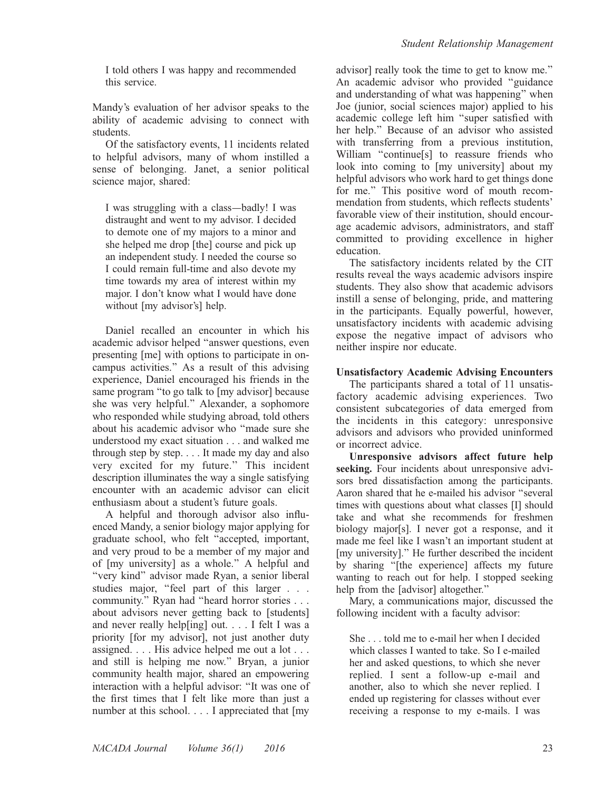I told others I was happy and recommended this service.

Mandy's evaluation of her advisor speaks to the ability of academic advising to connect with students.

Of the satisfactory events, 11 incidents related to helpful advisors, many of whom instilled a sense of belonging. Janet, a senior political science major, shared:

I was struggling with a class—badly! I was distraught and went to my advisor. I decided to demote one of my majors to a minor and she helped me drop [the] course and pick up an independent study. I needed the course so I could remain full-time and also devote my time towards my area of interest within my major. I don't know what I would have done without [my advisor's] help.

Daniel recalled an encounter in which his academic advisor helped ''answer questions, even presenting [me] with options to participate in oncampus activities.'' As a result of this advising experience, Daniel encouraged his friends in the same program "to go talk to [my advisor] because she was very helpful.'' Alexander, a sophomore who responded while studying abroad, told others about his academic advisor who ''made sure she understood my exact situation . . . and walked me through step by step. . . . It made my day and also very excited for my future.'' This incident description illuminates the way a single satisfying encounter with an academic advisor can elicit enthusiasm about a student's future goals.

A helpful and thorough advisor also influenced Mandy, a senior biology major applying for graduate school, who felt ''accepted, important, and very proud to be a member of my major and of [my university] as a whole.'' A helpful and ''very kind'' advisor made Ryan, a senior liberal studies major, "feel part of this larger . . . community.'' Ryan had ''heard horror stories . . . about advisors never getting back to [students] and never really help[ing] out. . . . I felt I was a priority [for my advisor], not just another duty assigned. . . . His advice helped me out a lot . . . and still is helping me now.'' Bryan, a junior community health major, shared an empowering interaction with a helpful advisor: ''It was one of the first times that I felt like more than just a number at this school. . . . I appreciated that  $[my]$ 

advisor] really took the time to get to know me.'' An academic advisor who provided ''guidance and understanding of what was happening'' when Joe (junior, social sciences major) applied to his academic college left him ''super satisfied with her help.'' Because of an advisor who assisted with transferring from a previous institution, William "continue[s] to reassure friends who look into coming to [my university] about my helpful advisors who work hard to get things done for me.'' This positive word of mouth recommendation from students, which reflects students' favorable view of their institution, should encourage academic advisors, administrators, and staff committed to providing excellence in higher education.

The satisfactory incidents related by the CIT results reveal the ways academic advisors inspire students. They also show that academic advisors instill a sense of belonging, pride, and mattering in the participants. Equally powerful, however, unsatisfactory incidents with academic advising expose the negative impact of advisors who neither inspire nor educate.

# Unsatisfactory Academic Advising Encounters

The participants shared a total of 11 unsatisfactory academic advising experiences. Two consistent subcategories of data emerged from the incidents in this category: unresponsive advisors and advisors who provided uninformed or incorrect advice.

Unresponsive advisors affect future help seeking. Four incidents about unresponsive advisors bred dissatisfaction among the participants. Aaron shared that he e-mailed his advisor ''several times with questions about what classes [I] should take and what she recommends for freshmen biology major[s]. I never got a response, and it made me feel like I wasn't an important student at [my university].'' He further described the incident by sharing ''[the experience] affects my future wanting to reach out for help. I stopped seeking help from the [advisor] altogether.''

Mary, a communications major, discussed the following incident with a faculty advisor:

She . . . told me to e-mail her when I decided which classes I wanted to take. So I e-mailed her and asked questions, to which she never replied. I sent a follow-up e-mail and another, also to which she never replied. I ended up registering for classes without ever receiving a response to my e-mails. I was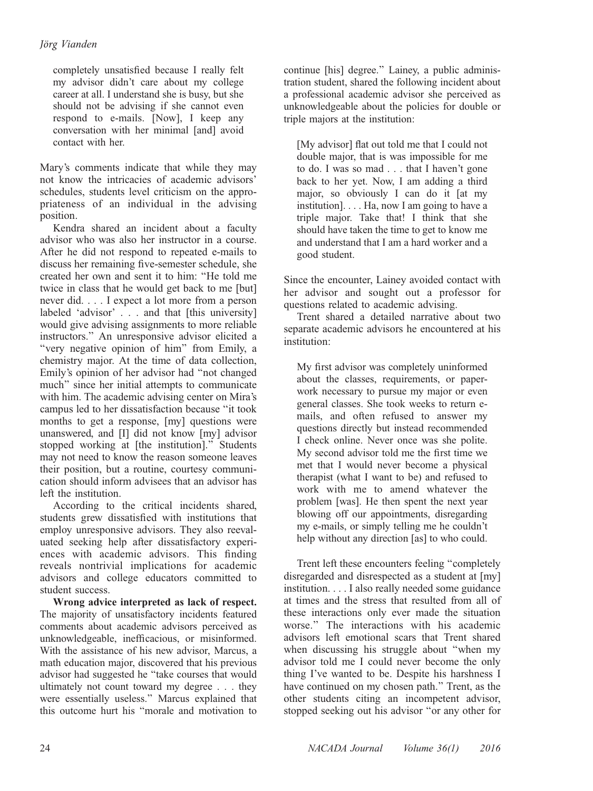completely unsatisfied because I really felt my advisor didn't care about my college career at all. I understand she is busy, but she should not be advising if she cannot even respond to e-mails. [Now], I keep any conversation with her minimal [and] avoid contact with her.

Mary's comments indicate that while they may not know the intricacies of academic advisors' schedules, students level criticism on the appropriateness of an individual in the advising position.

Kendra shared an incident about a faculty advisor who was also her instructor in a course. After he did not respond to repeated e-mails to discuss her remaining five-semester schedule, she created her own and sent it to him: ''He told me twice in class that he would get back to me [but] never did. ...I expect a lot more from a person labeled 'advisor' . . . and that [this university] would give advising assignments to more reliable instructors.'' An unresponsive advisor elicited a ''very negative opinion of him'' from Emily, a chemistry major. At the time of data collection, Emily's opinion of her advisor had ''not changed much'' since her initial attempts to communicate with him. The academic advising center on Mira's campus led to her dissatisfaction because ''it took months to get a response, [my] questions were unanswered, and [I] did not know [my] advisor stopped working at [the institution].'' Students may not need to know the reason someone leaves their position, but a routine, courtesy communication should inform advisees that an advisor has left the institution.

According to the critical incidents shared, students grew dissatisfied with institutions that employ unresponsive advisors. They also reevaluated seeking help after dissatisfactory experiences with academic advisors. This finding reveals nontrivial implications for academic advisors and college educators committed to student success.

Wrong advice interpreted as lack of respect. The majority of unsatisfactory incidents featured comments about academic advisors perceived as unknowledgeable, inefficacious, or misinformed. With the assistance of his new advisor, Marcus, a math education major, discovered that his previous advisor had suggested he ''take courses that would ultimately not count toward my degree . . . they were essentially useless.'' Marcus explained that this outcome hurt his ''morale and motivation to

continue [his] degree.'' Lainey, a public administration student, shared the following incident about a professional academic advisor she perceived as unknowledgeable about the policies for double or triple majors at the institution:

[My advisor] flat out told me that I could not double major, that is was impossible for me to do. I was so mad . . . that I haven't gone back to her yet. Now, I am adding a third major, so obviously I can do it [at my institution]. . . . Ha, now I am going to have a triple major. Take that! I think that she should have taken the time to get to know me and understand that I am a hard worker and a good student.

Since the encounter, Lainey avoided contact with her advisor and sought out a professor for questions related to academic advising.

Trent shared a detailed narrative about two separate academic advisors he encountered at his institution:

My first advisor was completely uninformed about the classes, requirements, or paperwork necessary to pursue my major or even general classes. She took weeks to return emails, and often refused to answer my questions directly but instead recommended I check online. Never once was she polite. My second advisor told me the first time we met that I would never become a physical therapist (what I want to be) and refused to work with me to amend whatever the problem [was]. He then spent the next year blowing off our appointments, disregarding my e-mails, or simply telling me he couldn't help without any direction [as] to who could.

Trent left these encounters feeling ''completely disregarded and disrespected as a student at [my] institution. . . . I also really needed some guidance at times and the stress that resulted from all of these interactions only ever made the situation worse.'' The interactions with his academic advisors left emotional scars that Trent shared when discussing his struggle about ''when my advisor told me I could never become the only thing I've wanted to be. Despite his harshness I have continued on my chosen path.'' Trent, as the other students citing an incompetent advisor, stopped seeking out his advisor ''or any other for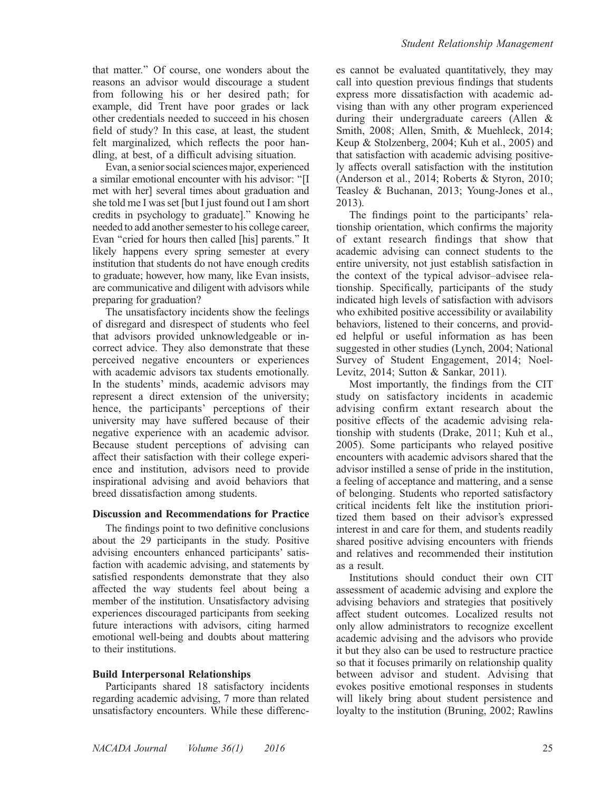that matter.'' Of course, one wonders about the reasons an advisor would discourage a student from following his or her desired path; for example, did Trent have poor grades or lack other credentials needed to succeed in his chosen field of study? In this case, at least, the student felt marginalized, which reflects the poor handling, at best, of a difficult advising situation.

Evan, a senior social sciences major, experienced a similar emotional encounter with his advisor: ''[I met with her] several times about graduation and she told me I was set [but I just found out I am short] credits in psychology to graduate].'' Knowing he needed to add another semester to his college career, Evan ''cried for hours then called [his] parents.'' It likely happens every spring semester at every institution that students do not have enough credits to graduate; however, how many, like Evan insists, are communicative and diligent with advisors while preparing for graduation?

The unsatisfactory incidents show the feelings of disregard and disrespect of students who feel that advisors provided unknowledgeable or incorrect advice. They also demonstrate that these perceived negative encounters or experiences with academic advisors tax students emotionally. In the students' minds, academic advisors may represent a direct extension of the university; hence, the participants' perceptions of their university may have suffered because of their negative experience with an academic advisor. Because student perceptions of advising can affect their satisfaction with their college experience and institution, advisors need to provide inspirational advising and avoid behaviors that breed dissatisfaction among students.

#### Discussion and Recommendations for Practice

The findings point to two definitive conclusions about the 29 participants in the study. Positive advising encounters enhanced participants' satisfaction with academic advising, and statements by satisfied respondents demonstrate that they also affected the way students feel about being a member of the institution. Unsatisfactory advising experiences discouraged participants from seeking future interactions with advisors, citing harmed emotional well-being and doubts about mattering to their institutions.

### Build Interpersonal Relationships

Participants shared 18 satisfactory incidents regarding academic advising, 7 more than related unsatisfactory encounters. While these differences cannot be evaluated quantitatively, they may call into question previous findings that students express more dissatisfaction with academic advising than with any other program experienced during their undergraduate careers (Allen & Smith, 2008; Allen, Smith, & Muehleck, 2014; Keup & Stolzenberg, 2004; Kuh et al., 2005) and that satisfaction with academic advising positively affects overall satisfaction with the institution (Anderson et al., 2014; Roberts & Styron, 2010; Teasley & Buchanan, 2013; Young-Jones et al., 2013).

The findings point to the participants' relationship orientation, which confirms the majority of extant research findings that show that academic advising can connect students to the entire university, not just establish satisfaction in the context of the typical advisor–advisee relationship. Specifically, participants of the study indicated high levels of satisfaction with advisors who exhibited positive accessibility or availability behaviors, listened to their concerns, and provided helpful or useful information as has been suggested in other studies (Lynch, 2004; National Survey of Student Engagement, 2014; Noel-Levitz, 2014; Sutton & Sankar, 2011).

Most importantly, the findings from the CIT study on satisfactory incidents in academic advising confirm extant research about the positive effects of the academic advising relationship with students (Drake, 2011; Kuh et al., 2005). Some participants who relayed positive encounters with academic advisors shared that the advisor instilled a sense of pride in the institution, a feeling of acceptance and mattering, and a sense of belonging. Students who reported satisfactory critical incidents felt like the institution prioritized them based on their advisor's expressed interest in and care for them, and students readily shared positive advising encounters with friends and relatives and recommended their institution as a result.

Institutions should conduct their own CIT assessment of academic advising and explore the advising behaviors and strategies that positively affect student outcomes. Localized results not only allow administrators to recognize excellent academic advising and the advisors who provide it but they also can be used to restructure practice so that it focuses primarily on relationship quality between advisor and student. Advising that evokes positive emotional responses in students will likely bring about student persistence and loyalty to the institution (Bruning, 2002; Rawlins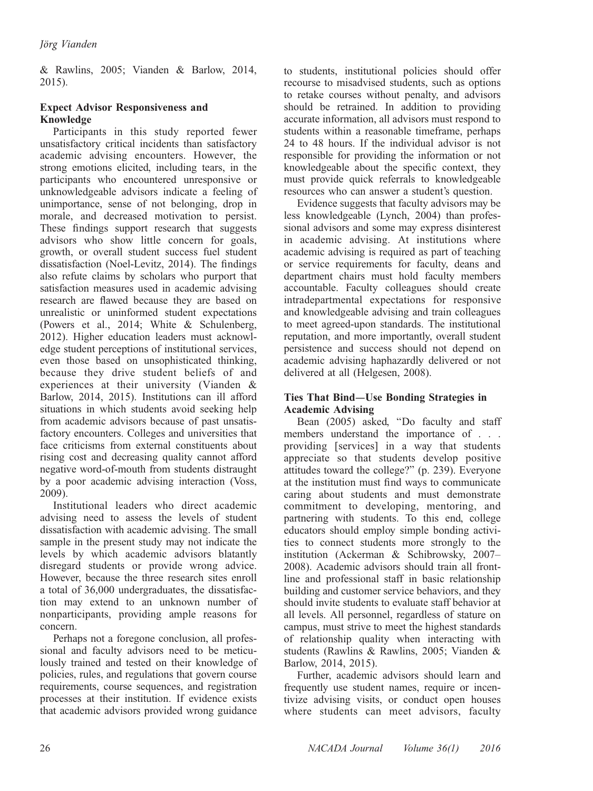& Rawlins, 2005; Vianden & Barlow, 2014, 2015).

# Expect Advisor Responsiveness and Knowledge

Participants in this study reported fewer unsatisfactory critical incidents than satisfactory academic advising encounters. However, the strong emotions elicited, including tears, in the participants who encountered unresponsive or unknowledgeable advisors indicate a feeling of unimportance, sense of not belonging, drop in morale, and decreased motivation to persist. These findings support research that suggests advisors who show little concern for goals, growth, or overall student success fuel student dissatisfaction (Noel-Levitz, 2014). The findings also refute claims by scholars who purport that satisfaction measures used in academic advising research are flawed because they are based on unrealistic or uninformed student expectations (Powers et al., 2014; White & Schulenberg, 2012). Higher education leaders must acknowledge student perceptions of institutional services, even those based on unsophisticated thinking, because they drive student beliefs of and experiences at their university (Vianden & Barlow, 2014, 2015). Institutions can ill afford situations in which students avoid seeking help from academic advisors because of past unsatisfactory encounters. Colleges and universities that face criticisms from external constituents about rising cost and decreasing quality cannot afford negative word-of-mouth from students distraught by a poor academic advising interaction (Voss, 2009).

Institutional leaders who direct academic advising need to assess the levels of student dissatisfaction with academic advising. The small sample in the present study may not indicate the levels by which academic advisors blatantly disregard students or provide wrong advice. However, because the three research sites enroll a total of 36,000 undergraduates, the dissatisfaction may extend to an unknown number of nonparticipants, providing ample reasons for concern.

Perhaps not a foregone conclusion, all professional and faculty advisors need to be meticulously trained and tested on their knowledge of policies, rules, and regulations that govern course requirements, course sequences, and registration processes at their institution. If evidence exists that academic advisors provided wrong guidance to students, institutional policies should offer recourse to misadvised students, such as options to retake courses without penalty, and advisors should be retrained. In addition to providing accurate information, all advisors must respond to students within a reasonable timeframe, perhaps 24 to 48 hours. If the individual advisor is not responsible for providing the information or not knowledgeable about the specific context, they must provide quick referrals to knowledgeable resources who can answer a student's question.

Evidence suggests that faculty advisors may be less knowledgeable (Lynch, 2004) than professional advisors and some may express disinterest in academic advising. At institutions where academic advising is required as part of teaching or service requirements for faculty, deans and department chairs must hold faculty members accountable. Faculty colleagues should create intradepartmental expectations for responsive and knowledgeable advising and train colleagues to meet agreed-upon standards. The institutional reputation, and more importantly, overall student persistence and success should not depend on academic advising haphazardly delivered or not delivered at all (Helgesen, 2008).

# Ties That Bind**—**Use Bonding Strategies in Academic Advising

Bean (2005) asked, ''Do faculty and staff members understand the importance of . . . providing [services] in a way that students appreciate so that students develop positive attitudes toward the college?'' (p. 239). Everyone at the institution must find ways to communicate caring about students and must demonstrate commitment to developing, mentoring, and partnering with students. To this end, college educators should employ simple bonding activities to connect students more strongly to the institution (Ackerman & Schibrowsky, 2007– 2008). Academic advisors should train all frontline and professional staff in basic relationship building and customer service behaviors, and they should invite students to evaluate staff behavior at all levels. All personnel, regardless of stature on campus, must strive to meet the highest standards of relationship quality when interacting with students (Rawlins & Rawlins, 2005; Vianden & Barlow, 2014, 2015).

Further, academic advisors should learn and frequently use student names, require or incentivize advising visits, or conduct open houses where students can meet advisors, faculty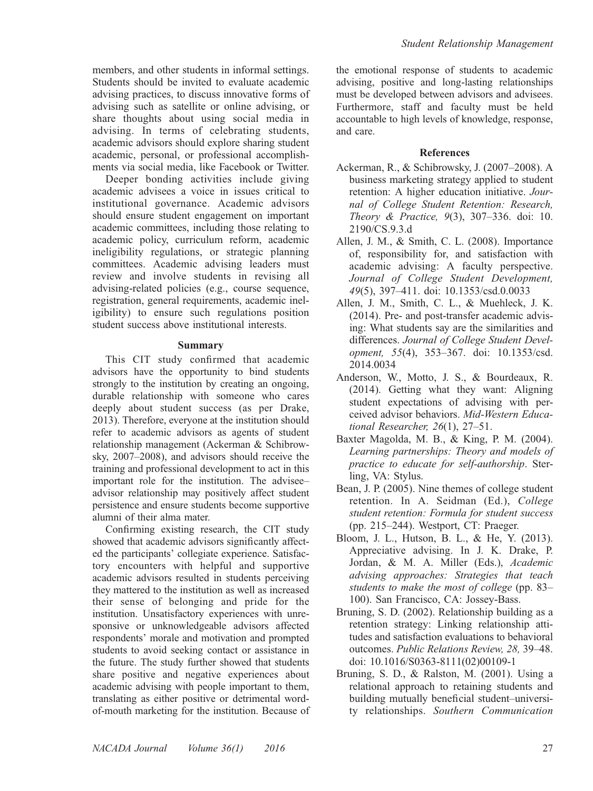members, and other students in informal settings. Students should be invited to evaluate academic advising practices, to discuss innovative forms of advising such as satellite or online advising, or share thoughts about using social media in advising. In terms of celebrating students, academic advisors should explore sharing student academic, personal, or professional accomplishments via social media, like Facebook or Twitter.

Deeper bonding activities include giving academic advisees a voice in issues critical to institutional governance. Academic advisors should ensure student engagement on important academic committees, including those relating to academic policy, curriculum reform, academic ineligibility regulations, or strategic planning committees. Academic advising leaders must review and involve students in revising all advising-related policies (e.g., course sequence, registration, general requirements, academic ineligibility) to ensure such regulations position student success above institutional interests.

#### Summary

This CIT study confirmed that academic advisors have the opportunity to bind students strongly to the institution by creating an ongoing, durable relationship with someone who cares deeply about student success (as per Drake, 2013). Therefore, everyone at the institution should refer to academic advisors as agents of student relationship management (Ackerman & Schibrowsky, 2007–2008), and advisors should receive the training and professional development to act in this important role for the institution. The advisee– advisor relationship may positively affect student persistence and ensure students become supportive alumni of their alma mater.

Confirming existing research, the CIT study showed that academic advisors significantly affected the participants' collegiate experience. Satisfactory encounters with helpful and supportive academic advisors resulted in students perceiving they mattered to the institution as well as increased their sense of belonging and pride for the institution. Unsatisfactory experiences with unresponsive or unknowledgeable advisors affected respondents' morale and motivation and prompted students to avoid seeking contact or assistance in the future. The study further showed that students share positive and negative experiences about academic advising with people important to them, translating as either positive or detrimental wordof-mouth marketing for the institution. Because of the emotional response of students to academic advising, positive and long-lasting relationships must be developed between advisors and advisees. Furthermore, staff and faculty must be held accountable to high levels of knowledge, response, and care.

### References

- Ackerman, R., & Schibrowsky, J. (2007–2008). A business marketing strategy applied to student retention: A higher education initiative. Journal of College Student Retention: Research, Theory & Practice, 9(3), 307–336. doi: 10. 2190/CS.9.3.d
- Allen, J. M., & Smith, C. L. (2008). Importance of, responsibility for, and satisfaction with academic advising: A faculty perspective. Journal of College Student Development, 49(5), 397–411. doi: 10.1353/csd.0.0033
- Allen, J. M., Smith, C. L., & Muehleck, J. K. (2014). Pre- and post-transfer academic advising: What students say are the similarities and differences. Journal of College Student Development, 55(4), 353–367. doi: 10.1353/csd. 2014.0034
- Anderson, W., Motto, J. S., & Bourdeaux, R. (2014). Getting what they want: Aligning student expectations of advising with perceived advisor behaviors. Mid-Western Educational Researcher, 26(1), 27–51.
- Baxter Magolda, M. B., & King, P. M. (2004). Learning partnerships: Theory and models of practice to educate for self-authorship. Sterling, VA: Stylus.
- Bean, J. P. (2005). Nine themes of college student retention. In A. Seidman (Ed.), College student retention: Formula for student success (pp. 215–244). Westport, CT: Praeger.
- Bloom, J. L., Hutson, B. L., & He, Y. (2013). Appreciative advising. In J. K. Drake, P. Jordan, & M. A. Miller (Eds.), Academic advising approaches: Strategies that teach students to make the most of college (pp. 83– 100). San Francisco, CA: Jossey-Bass.
- Bruning, S. D. (2002). Relationship building as a retention strategy: Linking relationship attitudes and satisfaction evaluations to behavioral outcomes. Public Relations Review, 28, 39–48. doi: 10.1016/S0363-8111(02)00109-1
- Bruning, S. D., & Ralston, M. (2001). Using a relational approach to retaining students and building mutually beneficial student–university relationships. Southern Communication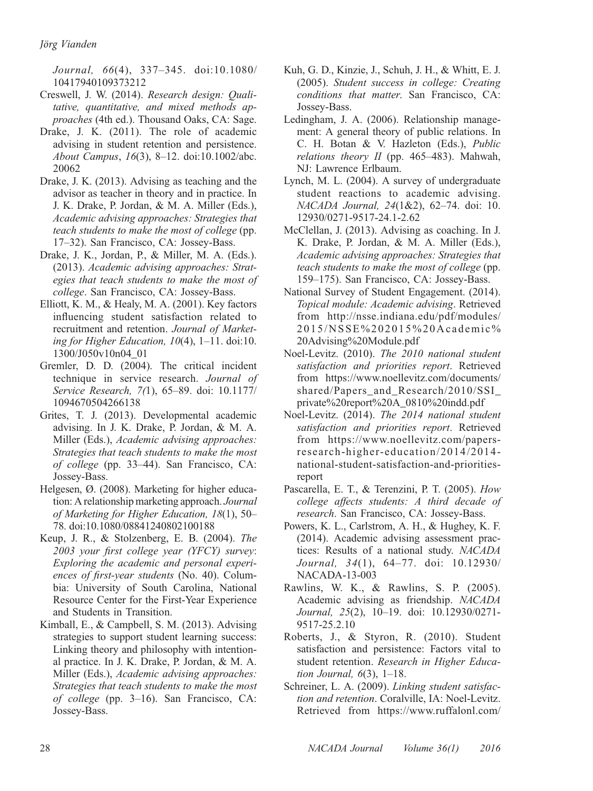Journal, 66(4), 337–345. doi:10.1080/ 10417940109373212

- Creswell, J. W. (2014). Research design: Qualitative, quantitative, and mixed methods approaches (4th ed.). Thousand Oaks, CA: Sage.
- Drake, J. K. (2011). The role of academic advising in student retention and persistence. About Campus, 16(3), 8–12. doi:10.1002/abc. 20062
- Drake, J. K. (2013). Advising as teaching and the advisor as teacher in theory and in practice. In J. K. Drake, P. Jordan, & M. A. Miller (Eds.), Academic advising approaches: Strategies that teach students to make the most of college (pp. 17–32). San Francisco, CA: Jossey-Bass.
- Drake, J. K., Jordan, P., & Miller, M. A. (Eds.). (2013). Academic advising approaches: Strategies that teach students to make the most of college. San Francisco, CA: Jossey-Bass.
- Elliott, K. M., & Healy, M. A. (2001). Key factors influencing student satisfaction related to recruitment and retention. Journal of Marketing for Higher Education, 10(4), 1–11. doi:10. 1300/J050v10n04\_01
- Gremler, D. D. (2004). The critical incident technique in service research. Journal of Service Research, 7(1), 65–89. doi: 10.1177/ 1094670504266138
- Grites, T. J. (2013). Developmental academic advising. In J. K. Drake, P. Jordan, & M. A. Miller (Eds.), Academic advising approaches: Strategies that teach students to make the most of college (pp. 33–44). San Francisco, CA: Jossey-Bass.
- Helgesen, Ø. (2008). Marketing for higher education: A relationship marketing approach. Journal of Marketing for Higher Education, 18(1), 50– 78. doi:10.1080/08841240802100188
- Keup, J. R., & Stolzenberg, E. B. (2004). The 2003 your first college year (YFCY) survey: Exploring the academic and personal experiences of first-year students (No. 40). Columbia: University of South Carolina, National Resource Center for the First-Year Experience and Students in Transition.
- Kimball, E., & Campbell, S. M. (2013). Advising strategies to support student learning success: Linking theory and philosophy with intentional practice. In J. K. Drake, P. Jordan, & M. A. Miller (Eds.), Academic advising approaches: Strategies that teach students to make the most of college (pp. 3–16). San Francisco, CA: Jossey-Bass.
- Kuh, G. D., Kinzie, J., Schuh, J. H., & Whitt, E. J. (2005). Student success in college: Creating conditions that matter. San Francisco, CA: Jossey-Bass.
- Ledingham, J. A. (2006). Relationship management: A general theory of public relations. In C. H. Botan & V. Hazleton (Eds.), Public relations theory II (pp. 465–483). Mahwah, NJ: Lawrence Erlbaum.
- Lynch, M. L. (2004). A survey of undergraduate student reactions to academic advising. NACADA Journal, 24(1&2), 62–74. doi: 10. 12930/0271-9517-24.1-2.62
- McClellan, J. (2013). Advising as coaching. In J. K. Drake, P. Jordan, & M. A. Miller (Eds.), Academic advising approaches: Strategies that teach students to make the most of college (pp. 159–175). San Francisco, CA: Jossey-Bass.
- National Survey of Student Engagement. (2014). Topical module: Academic advising. Retrieved from http://nsse.indiana.edu/pdf/modules/ 2015/NSSE%202015%20Academic% 20Advising%20Module.pdf
- Noel-Levitz. (2010). The 2010 national student satisfaction and priorities report. Retrieved from https://www.noellevitz.com/documents/ shared/Papers\_and\_Research/2010/SSI private%20report%20A\_0810%20indd.pdf
- Noel-Levitz. (2014). The 2014 national student satisfaction and priorities report. Retrieved from https://www.noellevitz.com/papersresearch-higher-education/2014/2014 national-student-satisfaction-and-prioritiesreport
- Pascarella, E. T., & Terenzini, P. T. (2005). How college affects students: A third decade of research. San Francisco, CA: Jossey-Bass.
- Powers, K. L., Carlstrom, A. H., & Hughey, K. F. (2014). Academic advising assessment practices: Results of a national study. NACADA Journal, 34(1), 64–77. doi: 10.12930/ NACADA-13-003
- Rawlins, W. K., & Rawlins, S. P. (2005). Academic advising as friendship. NACADA Journal, 25(2), 10-19. doi: 10.12930/0271-9517-25.2.10
- Roberts, J., & Styron, R. (2010). Student satisfaction and persistence: Factors vital to student retention. Research in Higher Education Journal,  $6(3)$ , 1-18.
- Schreiner, L. A. (2009). Linking student satisfaction and retention. Coralville, IA: Noel-Levitz. Retrieved from https://www.ruffalonl.com/